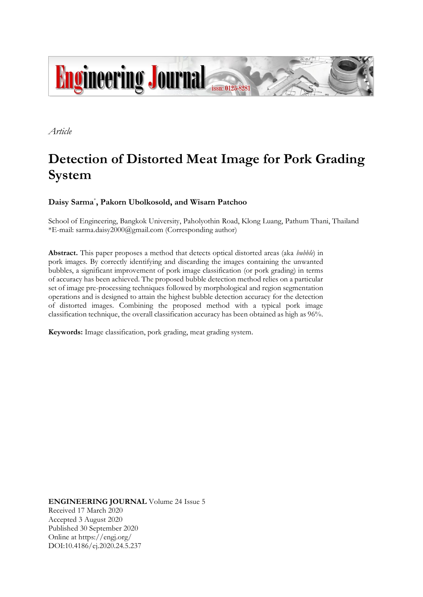

*Article*

# **Detection of Distorted Meat Image for Pork Grading System**

# **Daisy Sarma**\* **, Pakorn Ubolkosold, and Wisarn Patchoo**

School of Engineering, Bangkok University, Paholyothin Road, Klong Luang, Pathum Thani, Thailand \*E-mail: sarma.daisy2000@gmail.com (Corresponding author)

**Abstract.** This paper proposes a method that detects optical distorted areas (aka *bubble*) in pork images. By correctly identifying and discarding the images containing the unwanted bubbles, a significant improvement of pork image classification (or pork grading) in terms of accuracy has been achieved. The proposed bubble detection method relies on a particular set of image pre-processing techniques followed by morphological and region segmentation operations and is designed to attain the highest bubble detection accuracy for the detection of distorted images. Combining the proposed method with a typical pork image classification technique, the overall classification accuracy has been obtained as high as 96%.

**Keywords:** Image classification, pork grading, meat grading system.

**ENGINEERING JOURNAL** Volume 24 Issue 5 Received 17 March 2020 Accepted 3 August 2020 Published 30 September 2020 Online at https://engj.org/ DOI:10.4186/ej.2020.24.5.237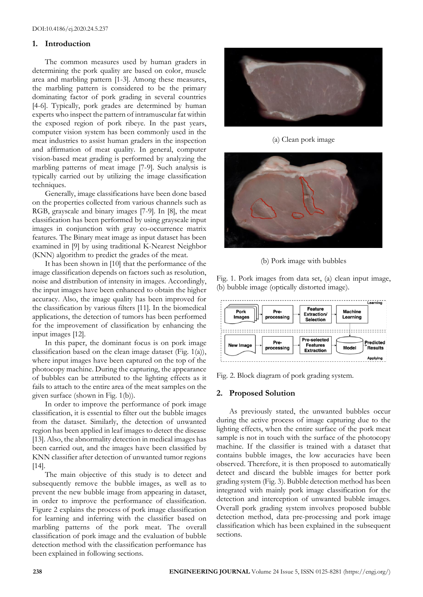#### **1. Introduction**

The common measures used by human graders in determining the pork quality are based on color, muscle area and marbling pattern [1-3]. Among these measures, the marbling pattern is considered to be the primary dominating factor of pork grading in several countries [4-6]. Typically, pork grades are determined by human experts who inspect the pattern of intramuscular fat within the exposed region of pork ribeye. In the past years, computer vision system has been commonly used in the meat industries to assist human graders in the inspection and affirmation of meat quality. In general, computer vision-based meat grading is performed by analyzing the marbling patterns of meat image [7-9]. Such analysis is typically carried out by utilizing the image classification techniques.

Generally, image classifications have been done based on the properties collected from various channels such as RGB, grayscale and binary images [7-9]. In [8], the meat classification has been performed by using grayscale input images in conjunction with gray co-occurrence matrix features. The Binary meat image as input dataset has been examined in [9] by using traditional K-Nearest Neighbor (KNN) algorithm to predict the grades of the meat.

It has been shown in [10] that the performance of the image classification depends on factors such as resolution, noise and distribution of intensity in images. Accordingly, the input images have been enhanced to obtain the higher accuracy. Also, the image quality has been improved for the classification by various filters [11]. In the biomedical applications, the detection of tumors has been performed for the improvement of classification by enhancing the input images [12].

In this paper, the dominant focus is on pork image classification based on the clean image dataset (Fig. 1(a)), where input images have been captured on the top of the photocopy machine. During the capturing, the appearance of bubbles can be attributed to the lighting effects as it fails to attach to the entire area of the meat samples on the given surface (shown in Fig. 1(b)).

In order to improve the performance of pork image classification, it is essential to filter out the bubble images from the dataset. Similarly, the detection of unwanted region has been applied in leaf images to detect the disease [13]. Also, the abnormality detection in medical images has been carried out, and the images have been classified by KNN classifier after detection of unwanted tumor regions [14].

The main objective of this study is to detect and subsequently remove the bubble images, as well as to prevent the new bubble image from appearing in dataset, in order to improve the performance of classification. Figure 2 explains the process of pork image classification for learning and inferring with the classifier based on marbling patterns of the pork meat. The overall classification of pork image and the evaluation of bubble detection method with the classification performance has been explained in following sections.



(a) Clean pork image



(b) Pork image with bubbles

Fig. 1. Pork images from data set, (a) clean input image, (b) bubble image (optically distorted image).



Fig. 2. Block diagram of pork grading system.

# **2. Proposed Solution**

As previously stated, the unwanted bubbles occur during the active process of image capturing due to the lighting effects, when the entire surface of the pork meat sample is not in touch with the surface of the photocopy machine. If the classifier is trained with a dataset that contains bubble images, the low accuracies have been observed. Therefore, it is then proposed to automatically detect and discard the bubble images for better pork grading system (Fig. 3). Bubble detection method has been integrated with mainly pork image classification for the detection and interception of unwanted bubble images. Overall pork grading system involves proposed bubble detection method, data pre-processing and pork image classification which has been explained in the subsequent sections.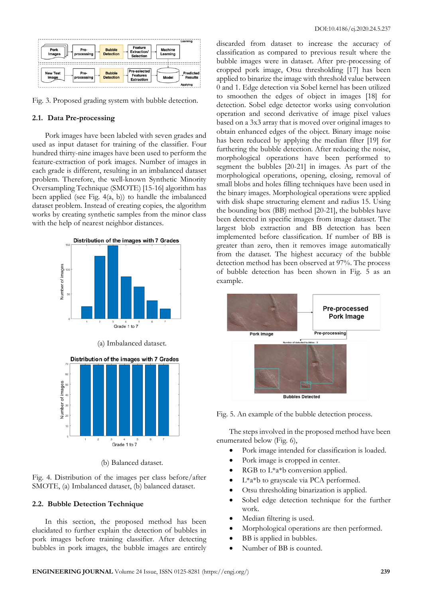| Pork<br>Images           | Pre-<br>processing | <b>Bubble</b><br><b>Detection</b> | Feature<br><b>Machine</b><br>Extraction/<br>Learning<br><b>Selection</b> | Learning                         |
|--------------------------|--------------------|-----------------------------------|--------------------------------------------------------------------------|----------------------------------|
| <b>New Test</b><br>Image | Pre-<br>processing | <b>Bubble</b><br><b>Detection</b> | Pre-selected<br><b>Features</b><br>Model<br><b>Extraction</b>            | Predicted<br>Results<br>Applying |

Fig. 3. Proposed grading system with bubble detection.

#### **2.1. Data Pre-processing**

Pork images have been labeled with seven grades and used as input dataset for training of the classifier. Four hundred thirty-nine images have been used to perform the feature-extraction of pork images. Number of images in each grade is different, resulting in an imbalanced dataset problem. Therefore, the well-known Synthetic Minority Oversampling Technique (SMOTE) [15-16] algorithm has been applied (see Fig.  $4(a, b)$ ) to handle the imbalanced dataset problem. Instead of creating copies, the algorithm works by creating synthetic samples from the minor class with the help of nearest neighbor distances.



(b) Balanced dataset.

Fig. 4. Distribution of the images per class before/after SMOTE, (a) Imbalanced dataset, (b) balanced dataset.

### **2.2. Bubble Detection Technique**

In this section, the proposed method has been elucidated to further explain the detection of bubbles in pork images before training classifier. After detecting bubbles in pork images, the bubble images are entirely discarded from dataset to increase the accuracy of classification as compared to previous result where the bubble images were in dataset. After pre-processing of cropped pork image, Otsu thresholding [17] has been applied to binarize the image with threshold value between 0 and 1. Edge detection via Sobel kernel has been utilized to smoothen the edges of object in images [18] for detection. Sobel edge detector works using convolution operation and second derivative of image pixel values based on a 3x3 array that is moved over original images to obtain enhanced edges of the object. Binary image noise has been reduced by applying the median filter [19] for furthering the bubble detection. After reducing the noise, morphological operations have been performed to segment the bubbles [20-21] in images. As part of the morphological operations, opening, closing, removal of small blobs and holes filling techniques have been used in the binary images. Morphological operations were applied with disk shape structuring element and radius 15. Using the bounding box (BB) method [20-21], the bubbles have been detected in specific images from image dataset. The largest blob extraction and BB detection has been implemented before classification. If number of BB is greater than zero, then it removes image automatically from the dataset. The highest accuracy of the bubble detection method has been observed at 97%. The process of bubble detection has been shown in Fig. 5 as an example.



Fig. 5. An example of the bubble detection process.

The steps involved in the proposed method have been enumerated below (Fig. 6),

- Pork image intended for classification is loaded.
- Pork image is cropped in center.
- RGB to  $L^*a^*b$  conversion applied.
- $L^*a^*b$  to grayscale via PCA performed.
- Otsu thresholding binarization is applied.
- Sobel edge detection technique for the further work.
- Median filtering is used.
- Morphological operations are then performed.
- BB is applied in bubbles.
- Number of BB is counted.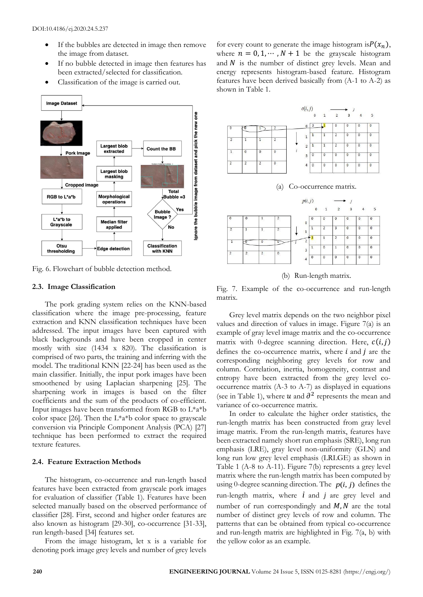- If the bubbles are detected in image then remove the image from dataset.
- If no bubble detected in image then features has been extracted/selected for classification.
- Classification of the image is carried out.



Fig. 6. Flowchart of bubble detection method.

#### **2.3. Image Classification**

The pork grading system relies on the KNN-based classification where the image pre-processing, feature extraction and KNN classification techniques have been addressed. The input images have been captured with black backgrounds and have been cropped in center mostly with size (1434 x 820). The classification is comprised of two parts, the training and inferring with the model. The traditional KNN [22-24] has been used as the main classifier. Initially, the input pork images have been smoothened by using Laplacian sharpening [25]. The sharpening work in images is based on the filter coefficients and the sum of the products of co-efficient. Input images have been transformed from RGB to L\*a\*b color space [26]. Then the  $L^*a^*b$  color space to grayscale conversion via Principle Component Analysis (PCA) [27] technique has been performed to extract the required texture features.

# **2.4. Feature Extraction Methods**

The histogram, co-occurrence and run-length based features have been extracted from grayscale pork images for evaluation of classifier (Table 1). Features have been selected manually based on the observed performance of classifier [28]. First, second and higher order features are also known as histogram [29-30], co-occurrence [31-33], run length-based [34] features set.

From the image histogram, let x is a variable for denoting pork image grey levels and number of grey levels

for every count to generate the image histogram is $P(x_n)$ , where  $n = 0, 1, \dots, N + 1$  be the grayscale histogram and  $N$  is the number of distinct grey levels. Mean and energy represents histogram-based feature. Histogram features have been derived basically from (A-1 to A-2) as shown in Table 1.





(b) Run-length matrix.

Fig. 7. Example of the co-occurrence and run-length matrix.

Grey level matrix depends on the two neighbor pixel values and direction of values in image. Figure 7(a) is an example of gray level image matrix and the co-occurrence matrix with 0-degree scanning direction. Here,  $c(i, j)$ defines the co-occurrence matrix, where  $i$  and  $j$  are the corresponding neighboring grey levels for row and column. Correlation, inertia, homogeneity, contrast and entropy have been extracted from the grey level cooccurrence matrix (A-3 to A-7) as displayed in equations (see in Table 1), where  $u$  and  $\partial^2$  represents the mean and variance of co-occurrence matrix.

In order to calculate the higher order statistics, the run-length matrix has been constructed from gray level image matrix. From the run-length matrix, features have been extracted namely short run emphasis (SRE), long run emphasis (LRE), gray level non-uniformity (GLN) and long run low grey level emphasis (LRLGE) as shown in Table 1 (A-8 to A-11). Figure 7(b) represents a grey level matrix where the run-length matrix has been computed by using 0-degree scanning direction. The  $p(i, j)$  defines the run-length matrix, where  $i$  and  $j$  are grey level and number of run correspondingly and  $M$ ,  $N$  are the total number of distinct grey levels of row and column. The patterns that can be obtained from typical co-occurrence and run-length matrix are highlighted in Fig. 7(a, b) with the yellow color as an example.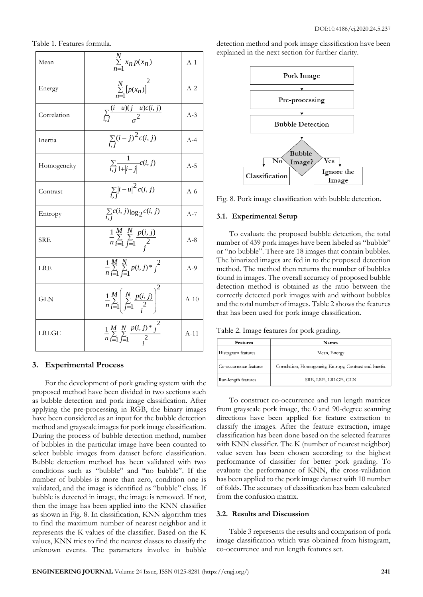Table 1. Features formula.

| Mean         | $\sum_{n=1}^{N} x_n p(x_n)$                                                | $A-1$  |
|--------------|----------------------------------------------------------------------------|--------|
| Energy       | $\sum_{n=1}^{N} [p(x_n)]$                                                  | $A-2$  |
| Correlation  | $\sum_{i,j} \frac{(i-u)(j-u)c(i,j)}{\sigma^2}$                             | $A-3$  |
| Inertia      | $\sum_{i,j} (i-j)^2 c(i,j)$                                                | $A-4$  |
| Homogeneity  | $\sum_{i,j} \frac{1}{1+ i-j } c(i,j)$                                      | $A-5$  |
| Contrast     | $\sum_{i,j} \left  i - u \right ^2 c(i,j)$                                 | $A-6$  |
| Entropy      | $\sum_{i} c(i, j) \log_2 c(i, j)$                                          | $A-7$  |
| <b>SRE</b>   | $\frac{1}{n}\sum_{i=1}^{M}\sum_{j=1}^{N}\frac{p(i,j)}{2}$                  | $A-8$  |
| LRE          | $\frac{1}{n}\sum_{i=1}^{M}\sum_{i=1}^{N}p(i,j)*j^{2}$                      | $A-9$  |
| <b>GLN</b>   | $\frac{1}{n}\sum_{i=1}^{M}\left(\sum_{j=1}^{N}\frac{p(i,j)}{2}\right)^{2}$ | $A-10$ |
| <b>LRLGE</b> | $\frac{1}{n}\sum_{i=1}^{M}\sum_{j=1}^{N}\frac{p(i,j)^{*}j^{2}}{2}$         | $A-11$ |

#### **3. Experimental Process**

For the development of pork grading system with the proposed method have been divided in two sections such as bubble detection and pork image classification. After applying the pre-processing in RGB, the binary images have been considered as an input for the bubble detection method and grayscale images for pork image classification. During the process of bubble detection method, number of bubbles in the particular image have been counted to select bubble images from dataset before classification. Bubble detection method has been validated with two conditions such as "bubble" and "no bubble". If the number of bubbles is more than zero, condition one is validated, and the image is identified as "bubble" class. If bubble is detected in image, the image is removed. If not, then the image has been applied into the KNN classifier as shown in Fig. 8. In classification, KNN algorithm tries to find the maximum number of nearest neighbor and it represents the K values of the classifier. Based on the K values, KNN tries to find the nearest classes to classify the unknown events. The parameters involve in bubble detection method and pork image classification have been explained in the next section for further clarity.



Fig. 8. Pork image classification with bubble detection.

#### **3.1. Experimental Setup**

To evaluate the proposed bubble detection, the total number of 439 pork images have been labeled as "bubble" or "no bubble". There are 18 images that contain bubbles. The binarized images are fed in to the proposed detection method. The method then returns the number of bubbles found in images. The overall accuracy of proposed bubble detection method is obtained as the ratio between the correctly detected pork images with and without bubbles and the total number of images. Table 2 shows the features that has been used for pork image classification.

Table 2. Image features for pork grading.

| <b>Features</b>        | <b>Names</b>                                            |
|------------------------|---------------------------------------------------------|
| Histogram features     | Mean, Energy                                            |
| Co-occurrence features | Correlation, Homogeneity, Entropy, Contrast and Inertia |
| Run-length features    | SRE, LRE, LRLGE, GLN                                    |

To construct co-occurrence and run length matrices from grayscale pork image, the 0 and 90-degree scanning directions have been applied for feature extraction to classify the images. After the feature extraction, image classification has been done based on the selected features with KNN classifier. The K (number of nearest neighbor) value seven has been chosen according to the highest performance of classifier for better pork grading. To evaluate the performance of KNN, the cross-validation has been applied to the pork image dataset with 10 number of folds. The accuracy of classification has been calculated from the confusion matrix.

## **3.2. Results and Discussion**

Table 3 represents the results and comparison of pork image classification which was obtained from histogram, co-occurrence and run length features set.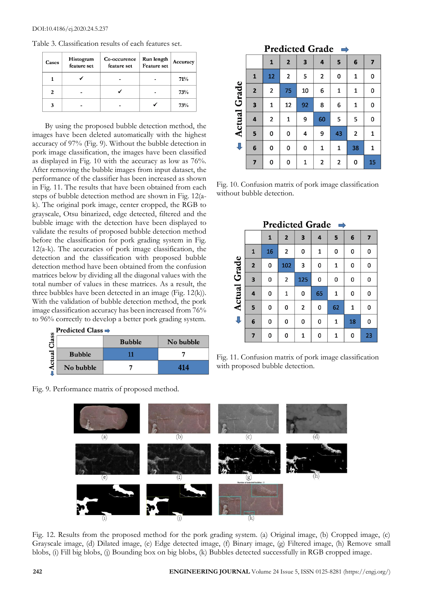| Cases | Histogram<br>feature set | Co-occurence<br>feature set | Run length<br><b>Feature</b> set | Accuracy |  |
|-------|--------------------------|-----------------------------|----------------------------------|----------|--|
|       |                          |                             |                                  | 71%      |  |
| 2     |                          |                             |                                  | 73%      |  |
| 3     |                          |                             |                                  | 73%      |  |

By using the proposed bubble detection method, the images have been deleted automatically with the highest accuracy of 97% (Fig. 9). Without the bubble detection in pork image classification, the images have been classified as displayed in Fig. 10 with the accuracy as low as 76%. After removing the bubble images from input dataset, the performance of the classifier has been increased as shown in Fig. 11. The results that have been obtained from each steps of bubble detection method are shown in Fig. 12(ak). The original pork image, center cropped, the RGB to grayscale, Otsu binarized, edge detected, filtered and the bubble image with the detection have been displayed to validate the results of proposed bubble detection method before the classification for pork grading system in Fig. 12(a-k). The accuracies of pork image classification, the detection and the classification with proposed bubble detection method have been obtained from the confusion matrices below by dividing all the diagonal values with the total number of values in these matrices. As a result, the three bubbles have been detected in an image (Fig. 12(k)). With the validation of bubble detection method, the pork image classification accuracy has been increased from 76% to 96% correctly to develop a better pork grading system.

|      | <b>Predicted Class</b> |               |           |
|------|------------------------|---------------|-----------|
| lass |                        | <b>Bubble</b> | No bubble |
| d    | <b>Bubble</b>          |               |           |
| ⋖    | No bubble              |               | 414       |

Fig. 9. Performance matrix of proposed method.

| 1      | $\mathbf{2}$   | $\overline{\mathbf{3}}$ | 4              | $5^{\circ}$             | 6 | $\overline{7}$ |
|--------|----------------|-------------------------|----------------|-------------------------|---|----------------|
| $12 -$ | $\overline{2}$ | 5                       | $\overline{2}$ | $\overline{\mathbf{0}}$ | 1 | $\pmb{0}$      |
| 2      | 75             | 10                      | 6              |                         |   | 0              |

8

60

9

 $\mathbf{1}$ 

6

5

43

 $\mathbf{1}$ 

 $\mathbf{1}$ 

5

 $\overline{\mathbf{c}}$ 

38

0

0

1

 $\mathbf{1}$ 

Predicted Grade  $\rightarrow$ 

92

9

4

0

 $\mathbf{1}$ 

 $\overline{2}$ 

 $\overline{\mathbf{3}}$ 

4

5

ĥ.

 $\mathbf{1}$ 

 $\overline{2}$ 

0

 $\mathbf 0$ 

12

 $\mathbf{1}$ 

0

 $\mathbf 0$ 

**Actual Grade** 

J

|                                                     |  |  |  | $0$   1   2   2   0 |  |
|-----------------------------------------------------|--|--|--|---------------------|--|
| ig 10 Confusion matrix of pork image classification |  |  |  |                     |  |

Fig. 10. Confusion matrix of pork image classification without bubble detection.

| <b>Predicted Grade</b><br>$\Rightarrow$ |                |    |                |                |    |    |    |    |
|-----------------------------------------|----------------|----|----------------|----------------|----|----|----|----|
|                                         |                | 1  | $\overline{2}$ | 3              | 4  | 5  | 6  | 7  |
|                                         | 1              | 16 | 2              | 0              | 1  | 0  | 0  | 0  |
| Actual Grade                            | $\overline{2}$ | 0  | 102            | 3              | 0  | 1  | 0  | 0  |
|                                         | 3              | 0  | 2              | 125            | 0  | 0  | 0  | 0  |
|                                         | 4              | 0  | 1              | 0              | 65 | 1  | 0  | 0  |
|                                         | 5              | 0  | 0              | $\overline{2}$ | 0  | 62 | 1  | 0  |
| ⇩                                       | 6              | 0  | 0              | 0              | 0  | 1  | 18 | 0  |
|                                         | 7              | 0  | 0              | 1              | 0  | 1  | 0  | 23 |

Fig. 11. Confusion matrix of pork image classification with proposed bubble detection.



Fig. 12. Results from the proposed method for the pork grading system. (a) Original image, (b) Cropped image, (c) Grayscale image, (d) Dilated image, (e) Edge detected image, (f) Binary image, (g) Filtered image, (h) Remove small blobs, (i) Fill big blobs, (j) Bounding box on big blobs, (k) Bubbles detected successfully in RGB cropped image.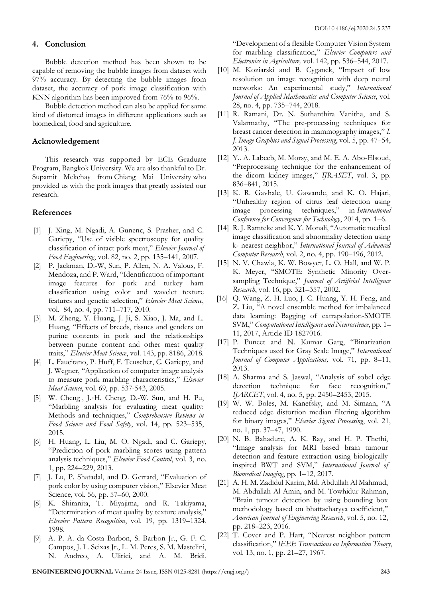#### **4. Conclusion**

Bubble detection method has been shown to be capable of removing the bubble images from dataset with 97% accuracy. By detecting the bubble images from dataset, the accuracy of pork image classification with KNN algorithm has been improved from 76% to 96%.

Bubble detection method can also be applied for same kind of distorted images in different applications such as biomedical, food and agriculture.

#### **Acknowledgement**

This research was supported by ECE Graduate Program, Bangkok University. We are also thankful to Dr. Supamit Mekchay from Chiang Mai University who provided us with the pork images that greatly assisted our research.

#### **References**

- [1] J. [Xing,](https://www.sciencedirect.com/science/article/abs/pii/S0260877407000660#!) M. [Ngadi,](https://www.sciencedirect.com/science/article/abs/pii/S0260877407000660#!) A. Gunenc, S. Prasher, and C. Gariepy, "Use of visible spectroscopy for quality classification of intact pork meat," *Elsevier Journal of Food Engineering*, vol. 82, no. 2, pp. 135–141, 2007.
- [2] P. Jackman, D.-W, Sun, P. Allen, N. A. Valous, F. Mendoza, and P. Ward, "Identification of important image features for pork and turkey ham classification using color and wavelet texture features and genetic selection," *Elsevier Meat Science*, vol. 84, no. 4, pp. 711–717, 2010.
- [3] M. Zheng, Y. Huang, J. Ji, S. Xiao, J. Ma, and L. Huang, "Effects of breeds, tissues and genders on purine contents in pork and the relationships between purine content and other meat quality traits," *Elsevier Meat Science*, vol. 143, pp. 8186, 2018.
- [4] L. Faucitano, P. Huff, F. Teuscher, C. Gariepy, and J. Wegner, "Application of computer image analysis to measure pork marbling characteristics," *Elsevier Meat Science*, vol. 69, pp. 537-543, 2005.
- [5] W. [Cheng](https://onlinelibrary.wiley.com/action/doSearch?ContribAuthorStored=Cheng%2C+Weiwei), J.-H. [Cheng,](https://onlinelibrary.wiley.com/action/doSearch?ContribAuthorStored=Cheng%2C+Jun-Hu) D.-W. Sun, and H. Pu, "Marbling analysis for evaluating meat quality: Methods and techniques," *Comprehensive Reviews in Food Science and Food Safety*, vol. 14, pp. 523–535, 2015.
- [6] H. Huang, L. Liu, M. O. Ngadi, and C. Gariepy, "Prediction of pork marbling scores using pattern analysis techniques," *Elsevier Food Control*, vol. 3, no. 1, pp. 224–229, 2013.
- [7] J. Lu, P. Shatadal, and D. Gerrard, "Evaluation of pork color by using computer vision," Elsevier Meat Science, vol. 56, pp. 57–60, 2000.
- [8] K. Shiranita, T. Miyajima, and R. Takiyama, "Determination of meat quality by texture analysis," *Elsevier Pattern Recognition*, vol. 19, pp. 1319–1324, 1998.
- [9] A. P. A. da Costa Barbon, S. Barbon Jr., G. F. C. Campos, J. L. Seixas Jr., L. M. Peres, S. M. Mastelini, N. Andreo, A. Ulirici, and A. M. Bridi,

"Development of a flexible Computer Vision System for marbling classification," *Elsevier Computers and Electronics in Agriculture,* vol. 142, pp. 536–544, 2017.

- [10] M. Koziarski and B. Cyganek, "Impact of low resolution on image recognition with deep neural networks: An experimental study," *International Journal of Applied Mathematics and Computer Science*, vol. 28, no. 4, pp. 735–744, 2018.
- [11] R. Ramani, Dr. N. Suthanthira Vanitha, and S. Valarmathy, "The pre-processing techniques for breast cancer detection in mammography images," *I. J. Image Graphics and Signal Processing*, vol. 5, pp. 47–54, 2013.
- [12] Y.. A. Labeeb, M. Morsy, and M. E. A. Abo-Elsoud, "Preprocessing technique for the enhancement of the dicom kidney images," *IJRASET*, vol. 3, pp. 836–841, 2015.
- [13] K. R. Gavhale, U. Gawande, and K. O. Hajari, "Unhealthy region of citrus leaf detection using image processing techniques," in *International Conference for Convergence for Technology*, 2014, pp. 1–6.
- [14] R. J. Ramteke and K. Y. Monali, "Automatic medical image classification and abnormality detection using k- nearest neighbor," *International Journal of Advanced Computer Research*, vol. 2, no. 4, pp. 190–196, 2012.
- [15] N. V. Chawla, K. W. Bowyer, L. O. Hall, and W. P. K. Meyer, "SMOTE: Synthetic Minority Oversampling Technique," *Journal of Artificial Intelligence Research*, vol. 16, pp. 321–357, 2002.
- [16] Q. Wang, Z. H. Luo, J. C. Huang, Y. H. Feng, and Z. Liu, "A novel ensemble method for imbalanced data learning: Bagging of extrapolation-SMOTE SVM," *Computational Intelligence and Neuroscience*, pp. 1– 11, 2017, Article ID 1827016.
- [17] P. Puneet and N. Kumar Garg, "Binarization Techniques used for Gray Scale Image," *International Journal of Computer Applications,* vol. 71, pp. 8–11, 2013.
- [18] A. Sharma and S. Jaswal, "Analysis of sobel edge detection technique for face recognition," *IJARCET*, vol. 4, no. 5, pp. 2450–2453, 2015.
- [19] W. W. Boles, M. Kanefsky, and M. Simaan, "A reduced edge distortion median filtering algorithm for binary images," *Elsevier Signal Processing*, vol. 21, no. 1, pp. 37–47, 1990.
- [20] N. B. Bahadure, A. K. Ray, and H. P. Thethi, "Image analysis for MRI based brain tumour detection and feature extraction using biologically inspired BWT and SVM," *International Journal of Biomedical Imaging*, pp. 1–12, 2017.
- [21] A. H. M. Zadidul Karim, Md. Abdullah Al Mahmud, M. Abdullah Al Amin, and M. Towhidur Rahman, "Brain tumour detection by using bounding box methodology based on bhattacharyya coefficient," *American Journal of Engineering Research*, vol. 5, no. 12, pp. 218–223, 2016.
- [22] T. Cover and P. Hart, "Nearest neighbor pattern classification," *IEEE Transactions on Information Theory*, vol. 13, no. 1, pp. 21–27, 1967.